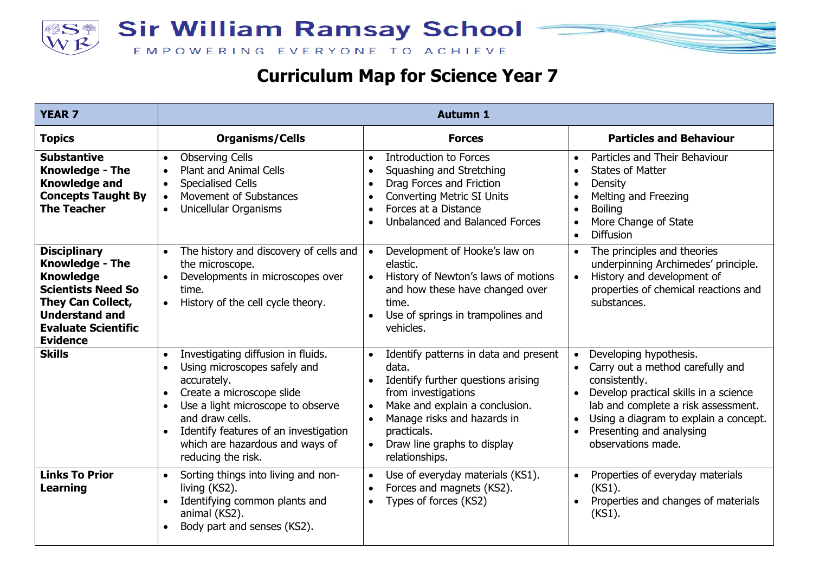



| <b>YEAR 7</b>                                                                                                                                                                                 | <b>Autumn 1</b>                                                                                                                                                                                                                                                                                                 |                                                                                                                                                                                                                                                                        |                                                                                                                                                                                                                                                                                  |  |
|-----------------------------------------------------------------------------------------------------------------------------------------------------------------------------------------------|-----------------------------------------------------------------------------------------------------------------------------------------------------------------------------------------------------------------------------------------------------------------------------------------------------------------|------------------------------------------------------------------------------------------------------------------------------------------------------------------------------------------------------------------------------------------------------------------------|----------------------------------------------------------------------------------------------------------------------------------------------------------------------------------------------------------------------------------------------------------------------------------|--|
| <b>Topics</b>                                                                                                                                                                                 | <b>Organisms/Cells</b>                                                                                                                                                                                                                                                                                          | <b>Forces</b>                                                                                                                                                                                                                                                          | <b>Particles and Behaviour</b>                                                                                                                                                                                                                                                   |  |
| <b>Substantive</b><br><b>Knowledge - The</b><br><b>Knowledge and</b><br><b>Concepts Taught By</b><br><b>The Teacher</b>                                                                       | <b>Observing Cells</b><br>$\bullet$<br><b>Plant and Animal Cells</b><br>$\bullet$<br><b>Specialised Cells</b><br>$\bullet$<br>Movement of Substances<br>$\bullet$<br>Unicellular Organisms<br>$\bullet$                                                                                                         | <b>Introduction to Forces</b><br>Squashing and Stretching<br>Drag Forces and Friction<br><b>Converting Metric SI Units</b><br>Forces at a Distance<br>Unbalanced and Balanced Forces                                                                                   | Particles and Their Behaviour<br>$\bullet$<br><b>States of Matter</b><br>$\bullet$<br>Density<br>$\bullet$<br>Melting and Freezing<br>$\bullet$<br><b>Boiling</b><br>$\bullet$<br>More Change of State<br>$\bullet$<br><b>Diffusion</b><br>$\bullet$                             |  |
| <b>Disciplinary</b><br><b>Knowledge - The</b><br><b>Knowledge</b><br><b>Scientists Need So</b><br>They Can Collect,<br><b>Understand and</b><br><b>Evaluate Scientific</b><br><b>Evidence</b> | The history and discovery of cells and<br>$\bullet$<br>the microscope.<br>Developments in microscopes over<br>$\bullet$<br>time.<br>History of the cell cycle theory.<br>$\bullet$                                                                                                                              | Development of Hooke's law on<br>elastic.<br>History of Newton's laws of motions<br>$\bullet$<br>and how these have changed over<br>time.<br>Use of springs in trampolines and<br>vehicles.                                                                            | The principles and theories<br>$\bullet$<br>underpinning Archimedes' principle.<br>History and development of<br>$\bullet$<br>properties of chemical reactions and<br>substances.                                                                                                |  |
| <b>Skills</b>                                                                                                                                                                                 | Investigating diffusion in fluids.<br>$\bullet$<br>Using microscopes safely and<br>accurately.<br>Create a microscope slide<br>Use a light microscope to observe<br>$\bullet$<br>and draw cells.<br>Identify features of an investigation<br>$\bullet$<br>which are hazardous and ways of<br>reducing the risk. | Identify patterns in data and present<br>$\bullet$<br>data.<br>Identify further questions arising<br>from investigations<br>Make and explain a conclusion.<br>Manage risks and hazards in<br>practicals.<br>Draw line graphs to display<br>$\bullet$<br>relationships. | Developing hypothesis.<br>Carry out a method carefully and<br>consistently.<br>Develop practical skills in a science<br>lab and complete a risk assessment.<br>Using a diagram to explain a concept.<br>$\bullet$<br>Presenting and analysing<br>$\bullet$<br>observations made. |  |
| <b>Links To Prior</b><br>Learning                                                                                                                                                             | Sorting things into living and non-<br>$\bullet$<br>living (KS2).<br>Identifying common plants and<br>$\bullet$<br>animal (KS2).<br>Body part and senses (KS2).                                                                                                                                                 | Use of everyday materials (KS1).<br>Forces and magnets (KS2).<br>Types of forces (KS2)<br>$\bullet$                                                                                                                                                                    | Properties of everyday materials<br>$\bullet$<br>$(KS1)$ .<br>Properties and changes of materials<br>$\bullet$<br>$(KS1)$ .                                                                                                                                                      |  |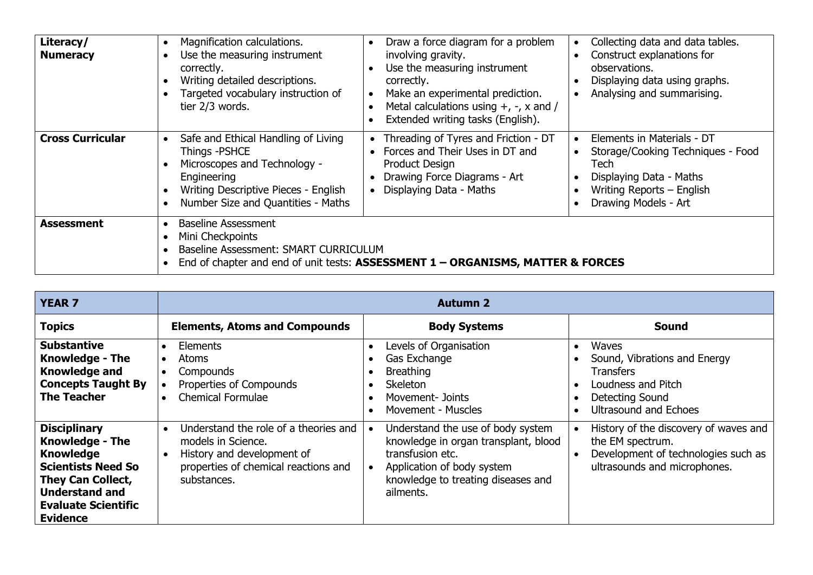| Literacy/<br><b>Numeracy</b> | Magnification calculations.<br>Use the measuring instrument<br>correctly.<br>Writing detailed descriptions.<br>Targeted vocabulary instruction of<br>tier 2/3 words.              | Draw a force diagram for a problem<br>involving gravity.<br>Use the measuring instrument<br>correctly.<br>Make an experimental prediction.<br>Metal calculations using $+$ , $-$ , $\times$ and /<br>Extended writing tasks (English). | Collecting data and data tables.<br>Construct explanations for<br>observations.<br>Displaying data using graphs.<br>Analysing and summarising.          |
|------------------------------|-----------------------------------------------------------------------------------------------------------------------------------------------------------------------------------|----------------------------------------------------------------------------------------------------------------------------------------------------------------------------------------------------------------------------------------|---------------------------------------------------------------------------------------------------------------------------------------------------------|
| <b>Cross Curricular</b>      | Safe and Ethical Handling of Living<br>Things -PSHCE<br>Microscopes and Technology -<br>Engineering<br>Writing Descriptive Pieces - English<br>Number Size and Quantities - Maths | Threading of Tyres and Friction - DT<br>Forces and Their Uses in DT and<br>Product Design<br>Drawing Force Diagrams - Art<br>Displaying Data - Maths                                                                                   | Elements in Materials - DT<br>Storage/Cooking Techniques - Food<br>Tech<br>Displaying Data - Maths<br>Writing Reports - English<br>Drawing Models - Art |
| <b>Assessment</b>            | Baseline Assessment<br>Mini Checkpoints<br>Baseline Assessment: SMART CURRICULUM<br>End of chapter and end of unit tests: ASSESSMENT 1 - ORGANISMS, MATTER & FORCES               |                                                                                                                                                                                                                                        |                                                                                                                                                         |

| <b>YEAR 7</b>                                                                                                                                                                                        | <b>Autumn 2</b>                                                                                                                                               |                                                                                                                                                                                |                                                                                                                                    |  |
|------------------------------------------------------------------------------------------------------------------------------------------------------------------------------------------------------|---------------------------------------------------------------------------------------------------------------------------------------------------------------|--------------------------------------------------------------------------------------------------------------------------------------------------------------------------------|------------------------------------------------------------------------------------------------------------------------------------|--|
| <b>Topics</b>                                                                                                                                                                                        | <b>Elements, Atoms and Compounds</b>                                                                                                                          | <b>Body Systems</b>                                                                                                                                                            | Sound                                                                                                                              |  |
| <b>Substantive</b><br><b>Knowledge - The</b><br><b>Knowledge and</b><br><b>Concepts Taught By</b><br><b>The Teacher</b>                                                                              | <b>Elements</b><br>$\bullet$<br><b>Atoms</b><br>$\bullet$<br>Compounds<br>$\bullet$<br>Properties of Compounds<br><b>Chemical Formulae</b><br>$\bullet$       | Levels of Organisation<br>Gas Exchange<br><b>Breathing</b><br><b>Skeleton</b><br>Movement- Joints<br>Movement - Muscles                                                        | <b>Waves</b><br>Sound, Vibrations and Energy<br><b>Transfers</b><br>Loudness and Pitch<br>Detecting Sound<br>Ultrasound and Echoes |  |
| <b>Disciplinary</b><br><b>Knowledge - The</b><br><b>Knowledge</b><br><b>Scientists Need So</b><br><b>They Can Collect,</b><br><b>Understand and</b><br><b>Evaluate Scientific</b><br><b>Evidence</b> | Understand the role of a theories and<br>$\bullet$<br>models in Science.<br>History and development of<br>properties of chemical reactions and<br>substances. | Understand the use of body system<br>knowledge in organ transplant, blood<br>transfusion etc.<br>Application of body system<br>knowledge to treating diseases and<br>ailments. | History of the discovery of waves and<br>the EM spectrum.<br>Development of technologies such as<br>ultrasounds and microphones.   |  |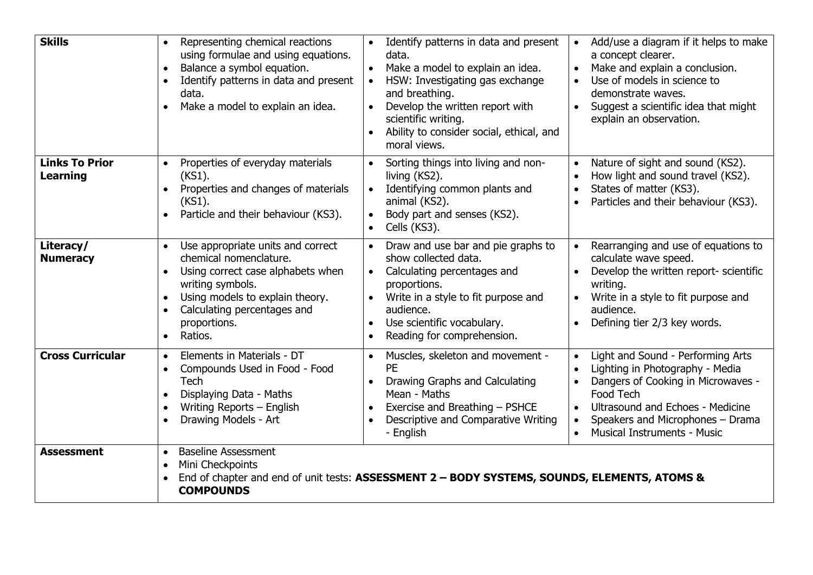| <b>Skills</b>                            | Representing chemical reactions<br>$\bullet$<br>using formulae and using equations.<br>Balance a symbol equation.<br>$\bullet$<br>Identify patterns in data and present<br>data.<br>Make a model to explain an idea.<br>$\bullet$ | Identify patterns in data and present<br>data.<br>Make a model to explain an idea.<br>$\bullet$<br>HSW: Investigating gas exchange<br>$\bullet$<br>and breathing.<br>Develop the written report with<br>$\bullet$<br>scientific writing.<br>Ability to consider social, ethical, and<br>moral views. | Add/use a diagram if it helps to make<br>$\bullet$<br>a concept clearer.<br>Make and explain a conclusion.<br>$\bullet$<br>Use of models in science to<br>$\bullet$<br>demonstrate waves.<br>Suggest a scientific idea that might<br>$\bullet$<br>explain an observation.                                           |
|------------------------------------------|-----------------------------------------------------------------------------------------------------------------------------------------------------------------------------------------------------------------------------------|------------------------------------------------------------------------------------------------------------------------------------------------------------------------------------------------------------------------------------------------------------------------------------------------------|---------------------------------------------------------------------------------------------------------------------------------------------------------------------------------------------------------------------------------------------------------------------------------------------------------------------|
| <b>Links To Prior</b><br><b>Learning</b> | Properties of everyday materials<br>$(KS1)$ .<br>Properties and changes of materials<br>$(KS1)$ .<br>Particle and their behaviour (KS3).                                                                                          | Sorting things into living and non-<br>$\bullet$<br>living (KS2).<br>Identifying common plants and<br>animal (KS2).<br>Body part and senses (KS2).<br>Cells (KS3).                                                                                                                                   | Nature of sight and sound (KS2).<br>$\bullet$<br>How light and sound travel (KS2).<br>$\bullet$<br>States of matter (KS3).<br>$\bullet$<br>Particles and their behaviour (KS3).                                                                                                                                     |
| Literacy/<br><b>Numeracy</b>             | Use appropriate units and correct<br>chemical nomenclature.<br>Using correct case alphabets when<br>writing symbols.<br>Using models to explain theory.<br>Calculating percentages and<br>proportions.<br>Ratios.<br>$\bullet$    | Draw and use bar and pie graphs to<br>show collected data.<br>Calculating percentages and<br>proportions.<br>Write in a style to fit purpose and<br>audience.<br>Use scientific vocabulary.<br>Reading for comprehension.                                                                            | Rearranging and use of equations to<br>$\bullet$<br>calculate wave speed.<br>Develop the written report- scientific<br>writing.<br>Write in a style to fit purpose and<br>audience.<br>Defining tier 2/3 key words.                                                                                                 |
| <b>Cross Curricular</b>                  | Elements in Materials - DT<br>$\bullet$<br>Compounds Used in Food - Food<br>$\bullet$<br>Tech<br>Displaying Data - Maths<br>Writing Reports - English<br>Drawing Models - Art                                                     | Muscles, skeleton and movement -<br>PE<br>Drawing Graphs and Calculating<br>$\bullet$<br>Mean - Maths<br>Exercise and Breathing - PSHCE<br>Descriptive and Comparative Writing<br>- English                                                                                                          | Light and Sound - Performing Arts<br>$\bullet$<br>Lighting in Photography - Media<br>$\bullet$<br>Dangers of Cooking in Microwaves -<br>$\bullet$<br>Food Tech<br>Ultrasound and Echoes - Medicine<br>$\bullet$<br>Speakers and Microphones - Drama<br>$\bullet$<br><b>Musical Instruments - Music</b><br>$\bullet$ |
| <b>Assessment</b>                        | <b>Baseline Assessment</b><br>$\bullet$<br>Mini Checkpoints<br><b>COMPOUNDS</b>                                                                                                                                                   | End of chapter and end of unit tests: ASSESSMENT 2 - BODY SYSTEMS, SOUNDS, ELEMENTS, ATOMS &                                                                                                                                                                                                         |                                                                                                                                                                                                                                                                                                                     |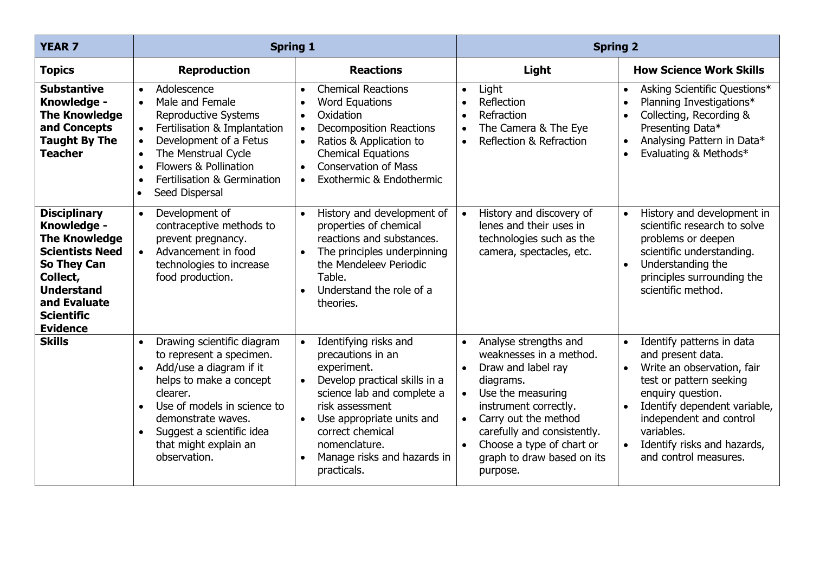| <b>YEAR 7</b>                                                                                                                                                                                       | <b>Spring 1</b>                                                                                                                                                                                                                                                                                                                  |                                                                                                                                                                                                                                                                                                                 | <b>Spring 2</b>                                                                                                                                                                                                                                                                                        |                                                                                                                                                                                                                                                                                         |
|-----------------------------------------------------------------------------------------------------------------------------------------------------------------------------------------------------|----------------------------------------------------------------------------------------------------------------------------------------------------------------------------------------------------------------------------------------------------------------------------------------------------------------------------------|-----------------------------------------------------------------------------------------------------------------------------------------------------------------------------------------------------------------------------------------------------------------------------------------------------------------|--------------------------------------------------------------------------------------------------------------------------------------------------------------------------------------------------------------------------------------------------------------------------------------------------------|-----------------------------------------------------------------------------------------------------------------------------------------------------------------------------------------------------------------------------------------------------------------------------------------|
| <b>Topics</b>                                                                                                                                                                                       | <b>Reproduction</b>                                                                                                                                                                                                                                                                                                              | <b>Reactions</b>                                                                                                                                                                                                                                                                                                | Light                                                                                                                                                                                                                                                                                                  | <b>How Science Work Skills</b>                                                                                                                                                                                                                                                          |
| <b>Substantive</b><br>Knowledge -<br><b>The Knowledge</b><br>and Concepts<br><b>Taught By The</b><br><b>Teacher</b>                                                                                 | Adolescence<br>$\bullet$<br>Male and Female<br>$\bullet$<br><b>Reproductive Systems</b><br>Fertilisation & Implantation<br>$\bullet$<br>Development of a Fetus<br>$\bullet$<br>The Menstrual Cycle<br>$\bullet$<br>Flowers & Pollination<br>$\bullet$<br>Fertilisation & Germination<br>$\bullet$<br>Seed Dispersal<br>$\bullet$ | <b>Chemical Reactions</b><br>$\bullet$<br><b>Word Equations</b><br>$\bullet$<br>Oxidation<br>$\bullet$<br><b>Decomposition Reactions</b><br>$\bullet$<br>Ratios & Application to<br>$\bullet$<br><b>Chemical Equations</b><br><b>Conservation of Mass</b><br>$\bullet$<br>Exothermic & Endothermic<br>$\bullet$ | Light<br>$\bullet$<br>Reflection<br>Refraction<br>The Camera & The Eye<br>$\bullet$<br>Reflection & Refraction<br>$\bullet$                                                                                                                                                                            | Asking Scientific Questions*<br>$\bullet$<br>Planning Investigations*<br>Collecting, Recording &<br>Presenting Data*<br>Analysing Pattern in Data*<br>$\bullet$<br>Evaluating & Methods*                                                                                                |
| <b>Disciplinary</b><br>Knowledge -<br><b>The Knowledge</b><br><b>Scientists Need</b><br><b>So They Can</b><br>Collect,<br><b>Understand</b><br>and Evaluate<br><b>Scientific</b><br><b>Evidence</b> | Development of<br>$\bullet$<br>contraceptive methods to<br>prevent pregnancy.<br>Advancement in food<br>$\bullet$<br>technologies to increase<br>food production.                                                                                                                                                                | History and development of<br>$\bullet$<br>properties of chemical<br>reactions and substances.<br>The principles underpinning<br>the Mendeleev Periodic<br>Table.<br>Understand the role of a<br>$\bullet$<br>theories.                                                                                         | History and discovery of<br>$\bullet$<br>lenes and their uses in<br>technologies such as the<br>camera, spectacles, etc.                                                                                                                                                                               | History and development in<br>$\bullet$<br>scientific research to solve<br>problems or deepen<br>scientific understanding.<br>Understanding the<br>$\bullet$<br>principles surrounding the<br>scientific method.                                                                        |
| <b>Skills</b>                                                                                                                                                                                       | Drawing scientific diagram<br>$\bullet$<br>to represent a specimen.<br>Add/use a diagram if it<br>$\bullet$<br>helps to make a concept<br>clearer.<br>Use of models in science to<br>$\bullet$<br>demonstrate waves.<br>Suggest a scientific idea<br>$\bullet$<br>that might explain an<br>observation.                          | Identifying risks and<br>$\bullet$<br>precautions in an<br>experiment.<br>Develop practical skills in a<br>$\bullet$<br>science lab and complete a<br>risk assessment<br>Use appropriate units and<br>$\bullet$<br>correct chemical<br>nomenclature.<br>Manage risks and hazards in<br>$\bullet$<br>practicals. | Analyse strengths and<br>$\bullet$<br>weaknesses in a method.<br>Draw and label ray<br>$\bullet$<br>diagrams.<br>Use the measuring<br>$\bullet$<br>instrument correctly.<br>Carry out the method<br>carefully and consistently.<br>Choose a type of chart or<br>graph to draw based on its<br>purpose. | Identify patterns in data<br>$\bullet$<br>and present data.<br>Write an observation, fair<br>$\bullet$<br>test or pattern seeking<br>enquiry question.<br>Identify dependent variable,<br>independent and control<br>variables.<br>Identify risks and hazards,<br>and control measures. |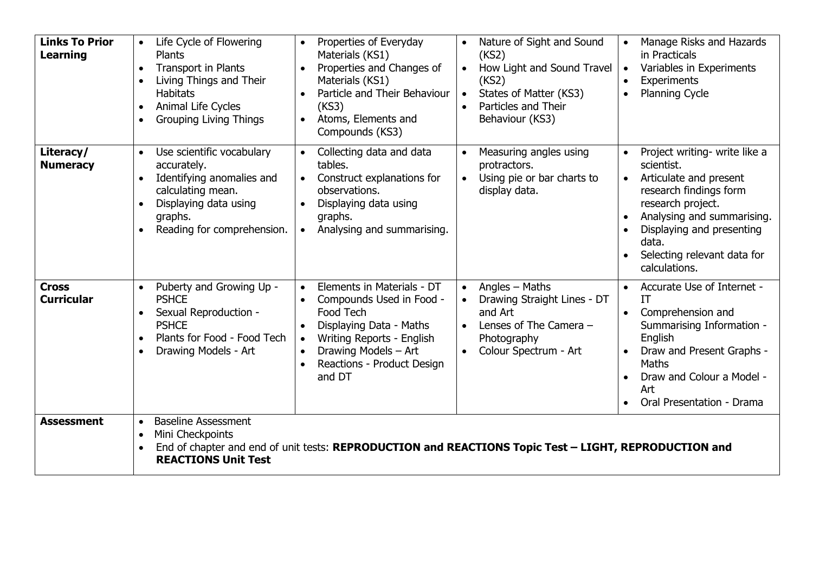| <b>Links To Prior</b><br>Learning | Life Cycle of Flowering<br>$\bullet$<br><b>Plants</b><br>Transport in Plants<br>$\bullet$<br>Living Things and Their<br><b>Habitats</b><br>Animal Life Cycles<br>$\bullet$<br><b>Grouping Living Things</b><br>$\bullet$ | Properties of Everyday<br>Materials (KS1)<br>Properties and Changes of<br>Materials (KS1)<br>Particle and Their Behaviour<br>(KS3)<br>Atoms, Elements and<br>Compounds (KS3)                             | Nature of Sight and Sound<br>(KS2)<br>How Light and Sound Travel<br>(KS2)<br>States of Matter (KS3)<br>$\bullet$<br>Particles and Their<br>Behaviour (KS3) | Manage Risks and Hazards<br>in Practicals<br>Variables in Experiments<br>$\bullet$<br>Experiments<br><b>Planning Cycle</b><br>$\bullet$                                                                                                               |
|-----------------------------------|--------------------------------------------------------------------------------------------------------------------------------------------------------------------------------------------------------------------------|----------------------------------------------------------------------------------------------------------------------------------------------------------------------------------------------------------|------------------------------------------------------------------------------------------------------------------------------------------------------------|-------------------------------------------------------------------------------------------------------------------------------------------------------------------------------------------------------------------------------------------------------|
| Literacy/<br><b>Numeracy</b>      | Use scientific vocabulary<br>$\bullet$<br>accurately.<br>Identifying anomalies and<br>$\bullet$<br>calculating mean.<br>Displaying data using<br>graphs.<br>Reading for comprehension.<br>$\bullet$                      | Collecting data and data<br>tables.<br>Construct explanations for<br>observations.<br>Displaying data using<br>graphs.<br>Analysing and summarising.<br>$\bullet$                                        | Measuring angles using<br>protractors.<br>Using pie or bar charts to<br>display data.                                                                      | Project writing- write like a<br>scientist.<br>Articulate and present<br>$\bullet$<br>research findings form<br>research project.<br>Analysing and summarising.<br>Displaying and presenting<br>data.<br>Selecting relevant data for<br>calculations. |
| <b>Cross</b><br><b>Curricular</b> | Puberty and Growing Up -<br>$\bullet$<br><b>PSHCE</b><br>Sexual Reproduction -<br>$\bullet$<br><b>PSHCE</b><br>Plants for Food - Food Tech<br>$\bullet$<br>Drawing Models - Art<br>$\bullet$                             | Elements in Materials - DT<br>Compounds Used in Food -<br>Food Tech<br>Displaying Data - Maths<br>Writing Reports - English<br>$\bullet$<br>Drawing Models - Art<br>Reactions - Product Design<br>and DT | Angles - Maths<br>$\bullet$<br>Drawing Straight Lines - DT<br>and Art<br>Lenses of The Camera -<br>Photography<br>Colour Spectrum - Art                    | Accurate Use of Internet -<br>$\bullet$<br>IT<br>Comprehension and<br>$\bullet$<br>Summarising Information -<br>English<br>Draw and Present Graphs -<br>Maths<br>Draw and Colour a Model -<br>Art<br>Oral Presentation - Drama<br>$\bullet$           |
| <b>Assessment</b>                 | <b>Baseline Assessment</b><br>$\bullet$<br>Mini Checkpoints<br>$\bullet$<br>$\bullet$<br><b>REACTIONS Unit Test</b>                                                                                                      | End of chapter and end of unit tests: REPRODUCTION and REACTIONS Topic Test - LIGHT, REPRODUCTION and                                                                                                    |                                                                                                                                                            |                                                                                                                                                                                                                                                       |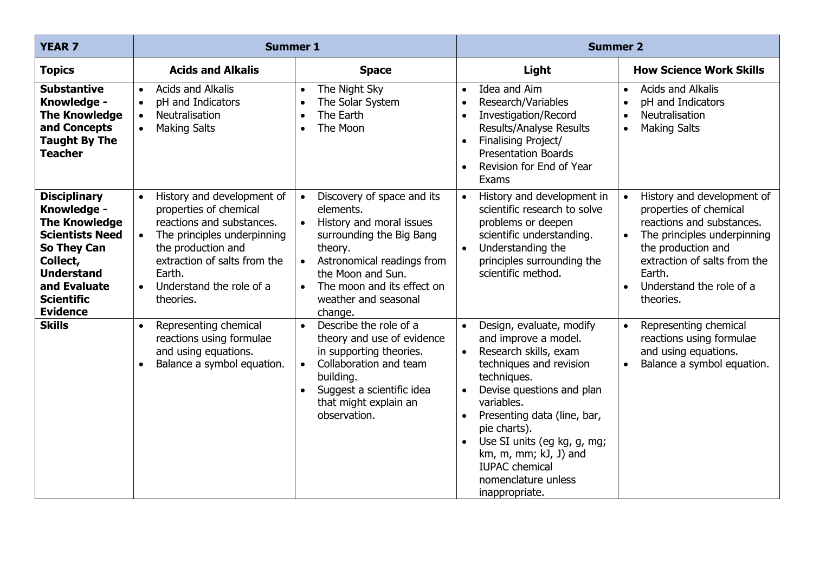| <b>YEAR 7</b>                                                                                                                                                                                | <b>Summer 1</b>                                                                                                                                                                                                                                                  |                                                                                                                                                                                                                                                                       | <b>Summer 2</b>                                                                                                                                                                                                                                                                                                                                                                |                                                                                                                                                                                                                                        |
|----------------------------------------------------------------------------------------------------------------------------------------------------------------------------------------------|------------------------------------------------------------------------------------------------------------------------------------------------------------------------------------------------------------------------------------------------------------------|-----------------------------------------------------------------------------------------------------------------------------------------------------------------------------------------------------------------------------------------------------------------------|--------------------------------------------------------------------------------------------------------------------------------------------------------------------------------------------------------------------------------------------------------------------------------------------------------------------------------------------------------------------------------|----------------------------------------------------------------------------------------------------------------------------------------------------------------------------------------------------------------------------------------|
| <b>Topics</b>                                                                                                                                                                                | <b>Acids and Alkalis</b>                                                                                                                                                                                                                                         | <b>Space</b>                                                                                                                                                                                                                                                          | Light                                                                                                                                                                                                                                                                                                                                                                          | <b>How Science Work Skills</b>                                                                                                                                                                                                         |
| <b>Substantive</b><br>Knowledge -<br><b>The Knowledge</b><br>and Concepts<br><b>Taught By The</b><br><b>Teacher</b>                                                                          | <b>Acids and Alkalis</b><br>$\bullet$<br>pH and Indicators<br>$\bullet$<br><b>Neutralisation</b><br>$\bullet$<br><b>Making Salts</b><br>$\bullet$                                                                                                                | The Night Sky<br>$\bullet$<br>The Solar System<br>$\bullet$<br>The Earth<br>$\bullet$<br>The Moon<br>$\bullet$                                                                                                                                                        | Idea and Aim<br>$\bullet$<br>Research/Variables<br>Investigation/Record<br><b>Results/Analyse Results</b><br>Finalising Project/<br><b>Presentation Boards</b><br>Revision for End of Year<br>$\bullet$<br>Exams                                                                                                                                                               | <b>Acids and Alkalis</b><br>$\bullet$<br>pH and Indicators<br>Neutralisation<br>$\bullet$<br><b>Making Salts</b><br>$\bullet$                                                                                                          |
| <b>Disciplinary</b><br>Knowledge -<br><b>The Knowledge</b><br><b>Scientists Need</b><br>So They Can<br>Collect,<br><b>Understand</b><br>and Evaluate<br><b>Scientific</b><br><b>Evidence</b> | History and development of<br>$\bullet$<br>properties of chemical<br>reactions and substances.<br>The principles underpinning<br>$\bullet$<br>the production and<br>extraction of salts from the<br>Earth.<br>Understand the role of a<br>$\bullet$<br>theories. | Discovery of space and its<br>$\bullet$<br>elements.<br>History and moral issues<br>$\bullet$<br>surrounding the Big Bang<br>theory.<br>Astronomical readings from<br>the Moon and Sun.<br>The moon and its effect on<br>$\bullet$<br>weather and seasonal<br>change. | History and development in<br>scientific research to solve<br>problems or deepen<br>scientific understanding.<br>Understanding the<br>$\bullet$<br>principles surrounding the<br>scientific method.                                                                                                                                                                            | History and development of<br>properties of chemical<br>reactions and substances.<br>The principles underpinning<br>$\bullet$<br>the production and<br>extraction of salts from the<br>Earth.<br>Understand the role of a<br>theories. |
| <b>Skills</b>                                                                                                                                                                                | Representing chemical<br>$\bullet$<br>reactions using formulae<br>and using equations.<br>Balance a symbol equation.<br>$\bullet$                                                                                                                                | Describe the role of a<br>$\bullet$<br>theory and use of evidence<br>in supporting theories.<br>Collaboration and team<br>$\bullet$<br>building.<br>Suggest a scientific idea<br>$\bullet$<br>that might explain an<br>observation.                                   | Design, evaluate, modify<br>$\bullet$<br>and improve a model.<br>Research skills, exam<br>techniques and revision<br>techniques.<br>Devise questions and plan<br>$\bullet$<br>variables.<br>Presenting data (line, bar,<br>$\bullet$<br>pie charts).<br>Use SI units (eg kg, g, mg;<br>km, m, mm; kJ, J) and<br><b>IUPAC</b> chemical<br>nomenclature unless<br>inappropriate. | Representing chemical<br>reactions using formulae<br>and using equations.<br>Balance a symbol equation.                                                                                                                                |